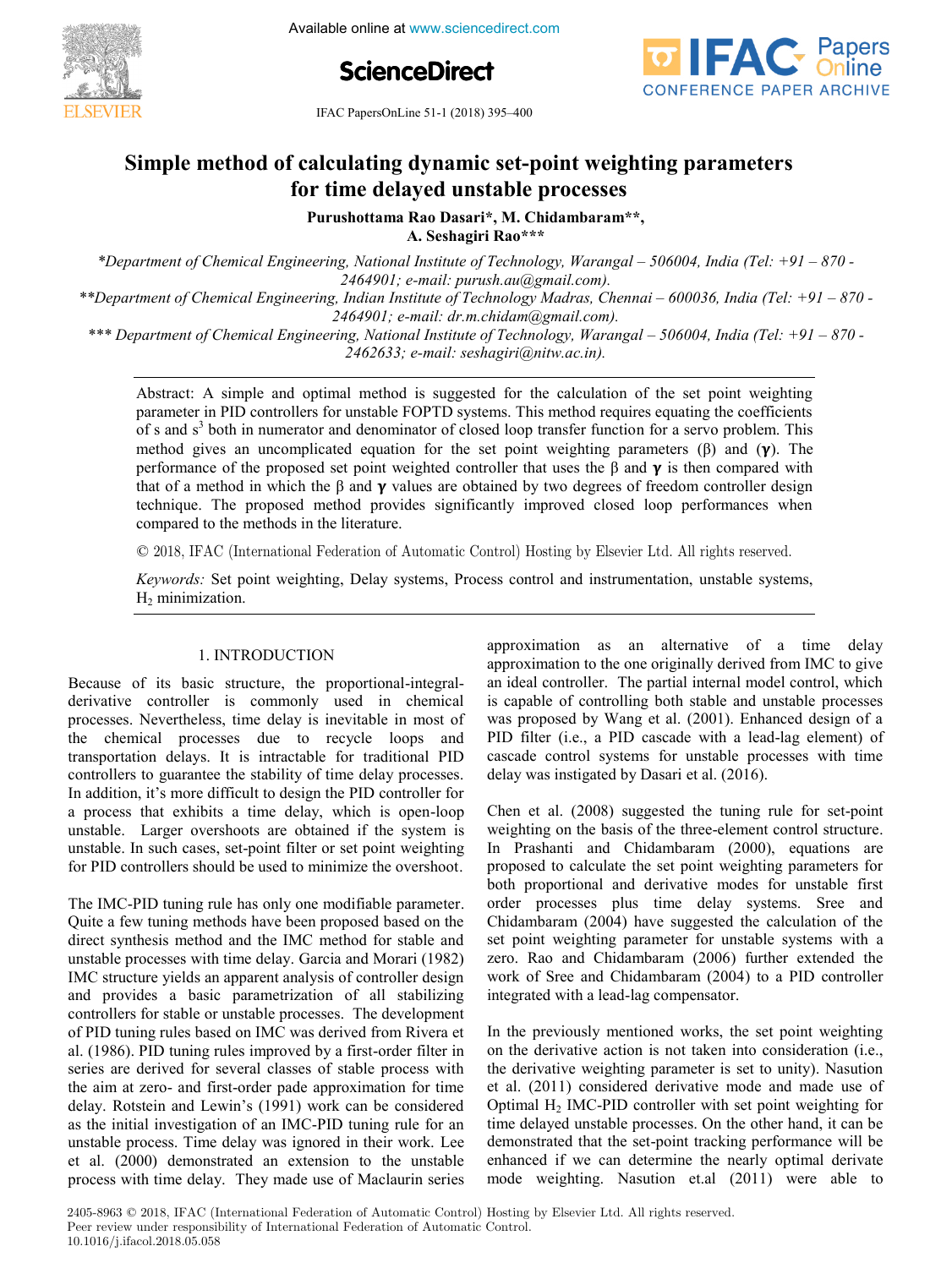Available online at www.sciencedirect.com **5th International Conference on Advances in Control and**





**IFAC PapersOnLine 51-1 (2018) 395-400** Simple method of calculating dynamic set-point parameters in  $(2010)$  *by* 

# **Simple method of calculating dynamic set-point weighting parameters Purushottama Rao Dasari\*, M. Chidambaram\*\*, for time delayed unstable processes Purushottama Rao Dasari\*, M. Chidambaram\*\*,**

**Purushottama Rao Dasari\*, M. Chidambaram\*\*, A. Seshagiri Rao\*\*\* Rao Dasari\***, M. Ch **A. Seshagiri Rao\*\*\* Purushottama Rao Dasari\*, M. Chidambaram\*\*,** 

\*Department of Chemical Engineering, National Institute of Technology, Warangal – 506004, India (Tel: +91 – 870 -- 2404761, e-mail: parash.aa@gmail.com/.<br>- 870 - Pepartment of Chemical Engineering, Indian Institute of Technology Madras, Chennai – 600036, India (Tel  $2464901$ ; e-mail: dr.m.chidam@gmail.com).  $2464901$ ; e-mail: purush.au@gmail.com).

<sup>2404</sup>> 210464; email: arimicial meridianics only.<br>\*\*\* Department of Chemical Engineering, National Institute of Technology, Warangal – 506004, India (Tel: +91 – 870 - $Depairmen$  of Chemical Engineering, National Institute of Technology, Warangai – 500004, India (1et. 151 – 670 – 2462633; e-mail: seshagiri@nitw.ac.in). *\*\*\* Department of Chemical Engineering, National Institute of Technology, Warangal – 506004, India (Tel: +91 – 870 - 2464901; e-mail: dr.m.chidam@gmail.com).*

*2462633; e-mail: seshagiri@nitw.ac.in).* of s and s<sup>3</sup> both in numerator and denominator of closed loop transfer function for a servo problem. This of s and s' both in numerator and denominator of closed loop transfer function for a servo problem. This method gives an uncomplicated equation for the set point weighting parameters ( $\beta$ ) and ( $\gamma$ ). The method gives an uncomplicated equation for the set point weighting parameters ( $\beta$ ) and ( $\gamma$ ). The performance of the proposed set point weighted controller that uses the  $\beta$  and  $\gamma$  is then compared with that of a me that of a method in which the  $\beta$  and  $\gamma$  values are obtained by two degrees of freedom controller design that of a method in which the  $\beta$  and  $\gamma$  values are obtained by two degrees of freedom controller design technique. The proposed method provides significantly improved closed loop performances when compared to the methods in the literature. Abstract: A simple and optimal method is suggested for the calculation of the set point weighting parameter in PID controllers for unstable FOPTD systems. This method requires equating the coefficients

© 2018, IFAC (International Federation of Automatic Control) Hosting by Elsevier Ltd. All rights reserved.  $t_{\rm c}$  the proposed method provides significantly improved closed at  $t_{\rm c}$ compared to the methods in the literature.<br>© 2018, IFAC (International Federation of Automatic Control) Hosting by Elsevier Ltd. All rights reserved.  $\approx$  2010, If the providence is exclusive of reasonable control trooping by Ebovide loat. The rights reserved.

Keywords: Set point weighting, Delay systems, Process control and instrumentation, unstable systems, H<sub>2</sub> minimization. *Keywords:* Set point weighting, Delay sy  $R_2$  minimization,  $R_3$  systems,  $R_4$  systems,  $R_5$  control and instrumentation, unstable systems,  $R_4$  systems,  $R_5$  and  $R_6$  systems,  $R_7$  and  $R_8$  systems,  $R_8$  and  $R_9$  and  $R_9$  and  $R_9$  and  $R_9$  and  $R_$ 

#### 1. INTRODUCTION 1. INTRODUCTION

Because of its basic structure, the proportional-integralderivative controller is commonly used in chemical processes. Nevertheless, time delay is inevitable in most of the chemical processes due to recycle loops and the stability of the stability of the stability of the stability of the stability of the stability of the stability of the stability of the stability of the stability of the transportation delays. It is intractable for traditional PID controllers to guarantee the stability of time delay processes. In addition, it's more difficult to design the PID controller for a process that exhibits a time delay, which is open-loop unstable. Larger overshoots are obtained if the system is unstable. In such cases, set-point filter or set point weighting unstable. In such cases, set-point filter or set point weighting for PID controllers should be used to minimize the overshoot. derivative controller is commonly used in chemical because of its basic structure, the proportional-integral-Because of its basic structure, the proportional-integralprocesse of its caste structure, the proportional inegral derivative controller is commonly used in chemical processes. Nevertheless, time delay is inevitable in most of processes. Nevertheless, time delay is inevitable in most of<br>the chemical processes due to recycle loops and transportation delays. It is intractable for traditional PID transportation delays. It is intractable for traditional PID In addition ways. It is maximum to demonstrated to controllers to guitance the stability of time delay processes.<br>In addition, it's more difficult to design the DID controller for m addition, it is more difficult to design the 11D controller for a process that exhibits a time delay, which is open-loop unstable. Larger overshoots are obtained if the system is Because of its basic structure, the proportional-integral-In addition, it's more different to design the controllers to guarantee the stability of time delay processes. In addition, it s more difficult to design the PID controller for distable. Larger overshoots are obtained if the system is<br>unstable. In such cases, set-point filter or set point weighting  $\alpha$  derivative controller is commonly used in chemicala process mat exhibits a time delay, which is open-loop

The IMC-PID tuning rule has only one modifiable parameter. Quite a few tuning methods have been proposed based on the direct synthesis method and the IMC method for stable and unstable processes with time delay. Garcia and Morari  $(1982)$ IMC structure yields an apparent analysis of controller design and provides a basic parametrization of all stabilizing controllers for stable or unstable processes. The development of PID tuning rules based on IMC was derived from Rivera et al. (1986). PID tuning rules improved by a first-order filter in series are derived for several classes of stable process with the aim at zero- and first-order pade approximation for time delay. Rotstein and Lewin's (1991) work can be considered as the initial investigation of an IMC-PID tuning rule for an unstable process. Time delay was ignored in their work. Lee et al. (2000) demonstrated an extension to the unstable process with time delay. They made use of Maclaurin series  $\mathbf{C}$  few to a few tuning methods have been proposed based on the theorem proposed based on the theorem proposed on the theorem is a set of the second based on the second based on the second based on the second based o I he IMC-PID tuning rule has only one modifiable parameter. The IMC-PID tuning rule has only one modifiable parameter. The The The tanny rue has only one meantable parameter. Quite a few tuning methods have been proposed based on the direct synthesis method and the IMC method for stable and quect synthesis method and the IMC method for stable and<br>unstable processes with time delay. Garcia and Morari (1982) and processes with the detay. Garcia and Morari (1982)<br>IMC structure yields an apparent analysis of controller design not structure yields an apparent analysis of controller design<br>and provides a basic parametrization of all stabilizing and provides a basic parametrization of all stabilizing<br>controllers for stable or unstable processes. The development controllers for stable or unstable processes. The development<br>of PID tuning rules based on IMC was derived from Rivera et of PID tuning rules based on INC was derived from Kivera et al. (1986). PID tuning rules improved by a first-order filter in at (1700). The tuning rules improved by a mist order mich in delay and deliver for several enasses of static process with the ann at zero- and Inst-order pade approximation for time<br>delay. Rotstein and Lewin's (1991) work can be considered delay. Rolstein and Lewin s (1991) work can be considered<br>as the initial investigation of an IMC-PID tuning rule for an as the minar investigation of an inte TID tuning fute for an ar. (1980). PID tuning rules improved by a first-order filter in<br>series are derived for several classes of stable process with delay and a can be considered approximation for time unstable process. The delay was ignored in their work. Lee et al. (2000) demonstrated an extension to the unstable Quite a few tuning methods have been proposed based on the

**Copyright © 2018 IFAC 411**

approximation as an alternative of a time delay approximation to the one originally derived from IMC to give an ideal controller. The partial internal model control, which is capable of controlling both stable and unstable processes was proposed by Wang et al.  $(2001)$ . Enhanced design of a PID filter (i.e., a PID cascade with a lead-lag element) of cascade control systems for unstable processes with time cascade delay was instigated by Dasari et al. (2016). approximation to the original ly derived from  $\mathcal{A}$ approximation as an alternative of a time delay  $\frac{1}{\sqrt{2\pi}}$ approximation as an atternative of a time delay<br>approximation to the one originally derived from IMC to give approximation to the one originally derived from IMC to give<br>an ideal controller. The partial internal model control, which an ideal controller. The partial internal model control, which<br>is capable of controlling both stable and unstable processes Is capable of controlling both stable and unstable processes<br>was proposed by Wang et al. (2001). Enhanced design of a was proposed by wang et al. (2001). Elinanced design of a<br>PID filter (i.e., a PID cascade with a lead-lag element) of PID linet (i.e., a PID cascade with a lead-lag element) of cascade control systems for unstable processes with time

approximation as an alternative of a time delay of a time delay of a time delay of a time delay of a time delay

approximation as an alternative of a time delay of a time delay  $\alpha$ 

Chen et al. (2008) suggested the tuning rule for set-point weighting on the basis of the three-element control structure. In Prashanti and Chidambaram (2000), equations are proposed to calculate the set point weighting parameters for both proportional and derivative modes for unstable first order processes plus time delay systems. Sree and Chidambaram  $(2004)$  have suggested the calculation of the set point weighting parameter for unstable systems with a zero. Rao and Chidambaram  $(2006)$  further extended the work of Sree and Chidambaram (2000) hannel extended the work of Sree and Chidambaram (2004) to a PID controller integrated with a lead-lag compensator.  $\omega$  the basis of three-element control structure.  $C$ hen et al. (2008) suggested the tuning rule for set-point  $Chen$  et al. (2008) suggested the tuning rule for set-point. Chen et al. (2000) suggested the tuning rule for set point In Prashanti and Chidambaram (2000), equations are both proposed to colculate the set point unighting perspective for proposed to carculate the set point weighting parameters for both proportional and derivative modes for unstable first<br>order processes plus time delay systems. Sree and other processes pas time detay systems. Sice and zero. Randambaram (2004) have suggested the caretation of the set point weighting parameter for unstable systems with a<br>zero. Rao and Chidambaram (2006) further extended the  $\epsilon$  chem et al.  $(2008)$  suggested the tuning rule for set-point proposed to calculate the set point weighting parameters for  $\alpha$  chidamoaram (2004) have suggested the calculation of the zeto. Kao and Chidambaram (2000) further extended the work of Sree and Chidambaram (2004) to a PID controller  $d = \frac{1}{20000}$  (2006). In Frashanti and Chidambaram (2000), equations are<br>proposed to calculate the set point weighting parameters for<br>both proportional and derivative modes for unstable first<br>order processes plus time delay systems. Sree and<br>Ch megrated with a lead-lag compensator.<br>To a PID controller integrated with a lead-lag compensator.

In the previously mentioned works, the set point weighting on the derivative action is not taken into consideration (i.e., the derivative weighting parameter is set to unity). Nasution et al. (2011) considered derivative mode and made use of Optimal  $H_2$  IMC-PID controller with set point weighting for time delayed unstable processes. On the other hand, it can be demonstrated that the set-point tracking performance will be enhanced if we can determine the nearly optimal derivate enhanced if we can determine the nearly optimal derivate mode weighting. Nasution et.al (2011) were able to on the derivative action is not taken into consideration (i.e., In the previously mentioned works, the set point weighting In the previously mentioned works, the set point weighting the derivative ection is not token into consideration (i.e. on the derivative action is not taken more consideration (i.e.,  $\mathbf{r}$ ) et al.  $(2011)$  considered derivative mode and made use of Optimal H<sub>2</sub> IMC-PID controller with set point weighting for  $\alpha$ . (2011) considered that the set-point vergining for the delayed unstable processes. On the other hand, it can be demonstrated that the set point weighting professional H2 II the demonstrated that the set-point tracking performance will be demonstrated that the set-point tracking performance will be In the previously mentioned works, the set point weighting on the derivative action is not taken into consideration (i.e.,  $t_1 = t_2 + t_3$ ). the derivative weighting parameter is set to unity). Nasurion demonstrated that the set-point tracking performance will be<br>enhanced if we can determine the nearly optimal derivate

2405-8963 © 2018, IFAC (International Federation of Automatic Control) Hosting by Elsevier Ltd. All rights reserved. Peer review under responsibility of International Federation of Automatic Control. 10.1016/j.ifacol.2018.05.058 2405-8963 © 2018, IFAC (International Federation of Automatic Control) Hosting by Elsevier Ltd. All rights reserved.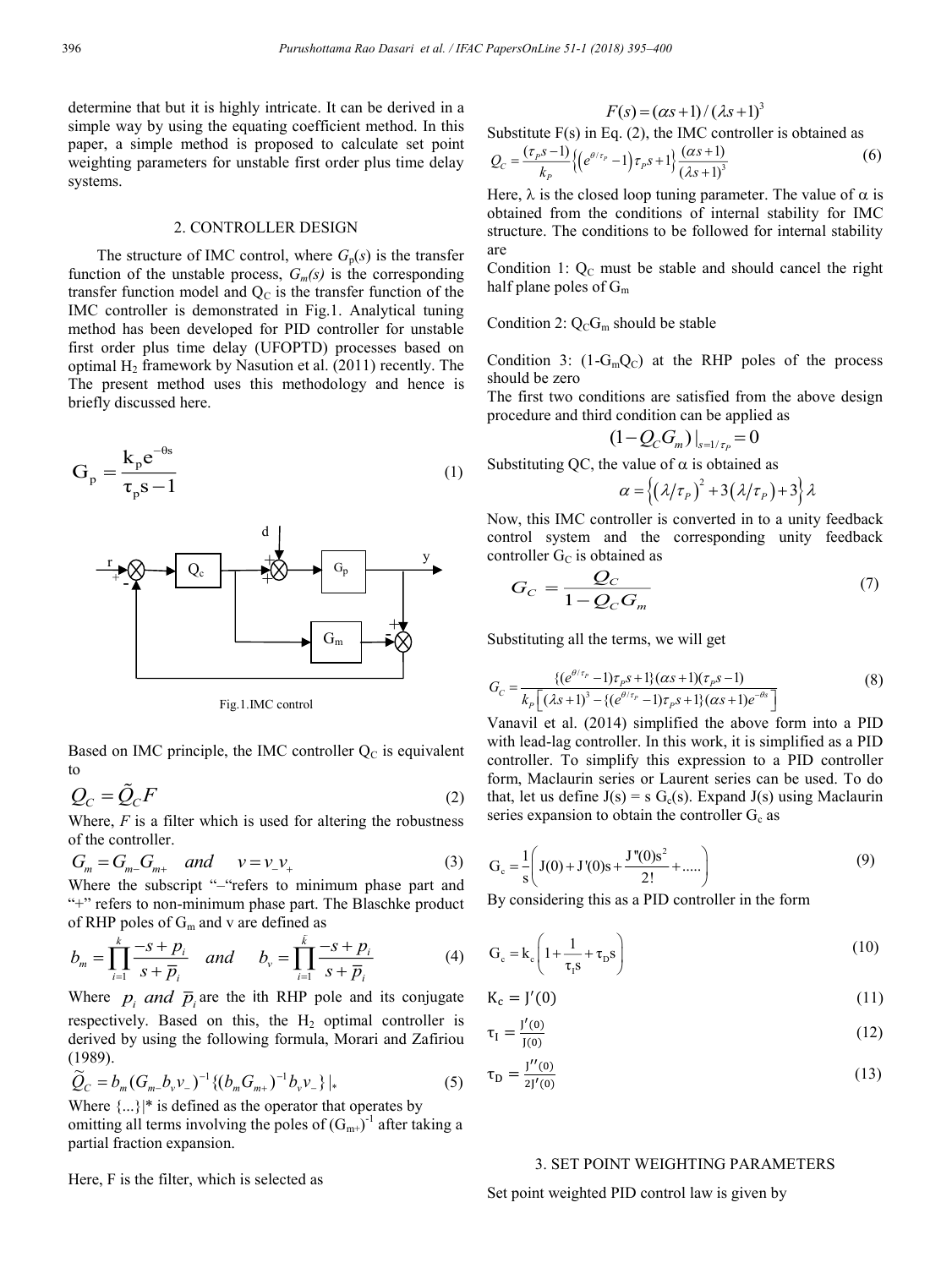determine that but it is highly intricate. It can be derived in a simple way by using the equating coefficient method. In this paper, a simple method is proposed to calculate set point weighting parameters for unstable first order plus time delay systems.

## 2. CONTROLLER DESIGN

The structure of IMC control, where  $G_p(s)$  is the transfer function of the unstable process,  $G_m(s)$  is the corresponding transfer function model and  $Q<sub>C</sub>$  is the transfer function of the IMC controller is demonstrated in Fig.1. Analytical tuning method has been developed for PID controller for unstable first order plus time delay (UFOPTD) processes based on optimal  $H_2$  framework by Nasution et al. (2011) recently. The The present method uses this methodology and hence is briefly discussed here.

$$
G_p = \frac{k_p e^{-\theta s}}{\tau_p s - 1}
$$
 (1)



Fig.1.IMC control

Based on IMC principle, the IMC controller  $Q_C$  is equivalent to

$$
Q_C = \tilde{Q}_C F \tag{2}
$$

Where, *F* is a filter which is used for altering the robustness of the controller.

$$
G_m = G_{m-} G_{m+} \quad and \quad v = v_- v_+ \tag{3}
$$

Where the subscript "-"refers to minimum phase part and "+" refers to non-minimum phase part. The Blaschke product of RHP poles of  $G_m$  and v are defined as

$$
b_{m} = \prod_{i=1}^{k} \frac{-s + p_{i}}{s + \overline{p}_{i}} \quad and \quad b_{v} = \prod_{i=1}^{k} \frac{-s + p_{i}}{s + \overline{p}_{i}} \tag{4}
$$

Where  $p_i$  *and*  $\overline{p}_i$  are the ith RHP pole and its conjugate respectively. Based on this, the  $H_2$  optimal controller is derived by using the following formula, Morari and Zafiriou (1989).

$$
\widetilde{Q}_C = b_m (G_m - b_v v_-)^{-1} \{ (b_m G_{m+})^{-1} b_v v_- \} |_* \tag{5}
$$

Where  $\{\ldots\}^*$  is defined as the operator that operates by

omitting all terms involving the poles of  $(G_{m+})^{-1}$  after taking a partial fraction expansion.

Here, F is the filter, which is selected as

$$
F(s) = (\alpha s + 1) / (\lambda s + 1)^3
$$

Substitute  $F(s)$  in Eq. (2), the IMC controller is obtained as

$$
Q_C = \frac{(\tau_p s - 1)}{k_p} \{ \left( e^{\theta/\tau_p} - 1 \right) \tau_p s + 1 \} \frac{(\alpha s + 1)}{(\lambda s + 1)^3}
$$
(6)

Here,  $\lambda$  is the closed loop tuning parameter. The value of  $\alpha$  is obtained from the conditions of internal stability for IMC structure. The conditions to be followed for internal stability are

Condition 1:  $Q_C$  must be stable and should cancel the right half plane poles of  $G_m$ 

Condition 2:  $Q_C G_m$  should be stable

Condition 3:  $(1-G<sub>m</sub>Q<sub>C</sub>)$  at the RHP poles of the process should be zero

The first two conditions are satisfied from the above design procedure and third condition can be applied as

$$
\left. (1 - Q_C G_m) \right|_{s = 1/\tau_P} = 0
$$

Substituting QC, the value of  $\alpha$  is obtained as

$$
\alpha = \left\{ \left( \frac{\lambda}{\tau_P} \right)^2 + 3\left( \frac{\lambda}{\tau_P} \right) + 3 \right\} \lambda
$$

Now, this IMC controller is converted in to a unity feedback control system and the corresponding unity feedback controller  $G_C$  is obtained as

$$
G_C = \frac{Q_C}{1 - Q_C G_m} \tag{7}
$$

Substituting all the terms, we will get

$$
G_C = \frac{\{(e^{\theta/\tau_p} - 1)\tau_p s + 1\}(\alpha s + 1)(\tau_p s - 1)}{k_p \left[ (\lambda s + 1)^3 - \{(e^{\theta/\tau_p} - 1)\tau_p s + 1\}(\alpha s + 1)e^{-\theta s} \right]}
$$
(8)

Vanavil et al. (2014) simplified the above form into a PID with lead-lag controller. In this work, it is simplified as a PID controller. To simplify this expression to a PID controller form, Maclaurin series or Laurent series can be used. To do that, let us define  $J(s) = s G_c(s)$ . Expand  $J(s)$  using Maclaurin series expansion to obtain the controller  $G_c$  as

$$
G_c = \frac{1}{s} \left( J(0) + J'(0)s + \frac{J''(0)s^2}{2!} + \dots \right)
$$
 (9)

By considering this as a PID controller in the form

$$
G_{c} = k_{c} \left( 1 + \frac{1}{\tau_{1} s} + \tau_{D} s \right)
$$
 (10)

$$
K_c = J'(0) \tag{11}
$$

$$
\tau_{I} = \frac{J'(0)}{J(0)}\tag{12}
$$

$$
\tau_{\rm D} = \frac{J''(0)}{2J'(0)}\tag{13}
$$

# 3. SET POINT WEIGHTING PARAMETERS

Set point weighted PID control law is given by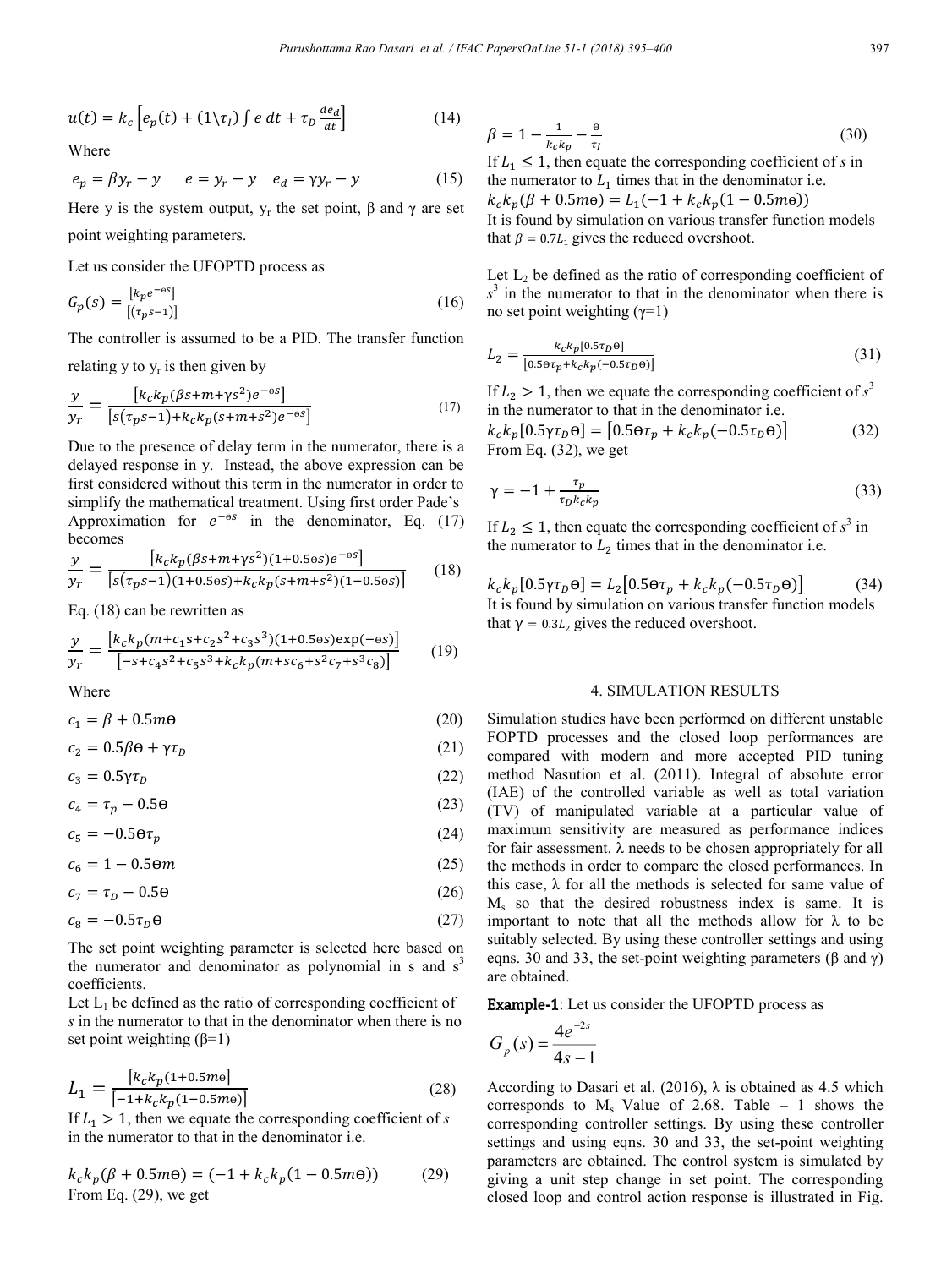$$
u(t) = k_c \left[ e_p(t) + (1 \setminus \tau_I) \int e \, dt + \tau_D \frac{de_d}{dt} \right] \tag{14}
$$

Where

$$
e_p = \beta y_r - y \qquad e = y_r - y \qquad e_d = \gamma y_r - y \tag{15}
$$

Here y is the system output,  $y_r$  the set point,  $\beta$  and  $\gamma$  are set point weighting parameters.

Let us consider the UFOPTD process as

**Optimization of Dynamical Systems**

$$
G_p(s) = \frac{\left[k_p e^{-os}\right]}{\left[\left(\tau_p s - 1\right)\right]}
$$
\n(16)

The controller is assumed to be a PID. The transfer function relating y to  $y_r$  is then given by

$$
\frac{y}{y_r} = \frac{\left[k_c k_p (\beta s + m + \gamma s^2) e^{-\theta s}\right]}{\left[s(\tau_p s - 1) + k_c k_p (s + m + s^2) e^{-\theta s}\right]}
$$
(17)

Due to the presence of delay term in the numerator, there is a delayed response in y. Instead, the above expression can be first considered without this term in the numerator in order to simplify the mathematical treatment. Using first order Pade's Approximation for  $e^{-\theta s}$  in the denominator, Eq. (17) becomes

$$
\frac{y}{y_r} = \frac{\left[k_c k_p (\beta s + m + \gamma s^2)(1 + 0.5 \text{e} s)e^{-\theta s}\right]}{\left[s(\tau_p s - 1)(1 + 0.5 \text{e} s) + k_c k_p (s + m + s^2)(1 - 0.5 \text{e} s)\right]}
$$
(18)

Eq. (18) can be rewritten as

$$
\frac{y}{y_r} = \frac{\left[k_c k_p (m + c_1 s + c_2 s^2 + c_3 s^3)(1 + 0.5 \text{es}) \exp(-\text{es})\right]}{\left[-s + c_4 s^2 + c_5 s^3 + k_c k_p (m + s c_6 + s^2 c_7 + s^3 c_8)\right]}
$$
(19)

Where

$$
c_1 = \beta + 0.5m\Theta \tag{20}
$$

 $c_2 = 0.5\beta\theta + \gamma\tau_D$  (21)

$$
c_3 = 0.5\gamma\tau_D \tag{22}
$$

 $c_4 = \tau_p - 0.5\Theta$  (23)

 $c_5 = -0.5 \Theta \tau_p$  (24)

 $c_6 = 1 - 0.5 \Theta m$  (25)

$$
c_7 = \tau_D - 0.5\Theta \tag{26}
$$

$$
c_8 = -0.5\tau_D \Theta \tag{27}
$$

The set point weighting parameter is selected here based on the numerator and denominator as polynomial in s and  $s<sup>3</sup>$ coefficients.

Let  $L_1$  be defined as the ratio of corresponding coefficient of *s* in the numerator to that in the denominator when there is no set point weighting  $(\beta=1)$ 

$$
L_1 = \frac{\left[k_c k_p (1 + 0.5m\Theta)\right]}{\left[-1 + k_c k_p (1 - 0.5m\Theta)\right]}
$$
(28)

If  $L_1 > 1$ , then we equate the corresponding coefficient of *s* in the numerator to that in the denominator i.e.

$$
k_c k_p (\beta + 0.5m\Theta) = (-1 + k_c k_p (1 - 0.5m\Theta))
$$
 (29)  
From Eq. (29), we get

$$
\beta = 1 - \frac{1}{k_c k_p} - \frac{\theta}{\tau_I} \tag{30}
$$

If  $L_1 \leq 1$ , then equate the corresponding coefficient of *s* in the numerator to  $L_1$  times that in the denominator i.e.  $k_c k_n(\beta + 0.5m\Theta) = L_1(-1 + k_c k_n(1 - 0.5m\Theta))$ It is found by simulation on various transfer function models that  $\beta = 0.7L_1$  gives the reduced overshoot.

Let  $L_2$  be defined as the ratio of corresponding coefficient of  $s<sup>3</sup>$  in the numerator to that in the denominator when there is no set point weighting  $(\gamma=1)$ 

$$
L_2 = \frac{k_c k_p [0.5\tau_D \Theta]}{[0.5\Theta \tau_p + k_c k_p (-0.5\tau_D \Theta)]}
$$
(31)

If  $L_2 > 1$ , then we equate the corresponding coefficient of  $s^3$ in the numerator to that in the denominator i.e.

$$
k_c k_p [0.5 \gamma \tau_D \Theta] = [0.5 \Theta \tau_p + k_c k_p (-0.5 \tau_D \Theta)] \tag{32}
$$
  
From Eq. (32), we get

$$
\gamma = -1 + \frac{\tau_p}{\tau_D k_c k_p} \tag{33}
$$

If  $L_2 \leq 1$ , then equate the corresponding coefficient of  $s^3$  in the numerator to  $L_2$  times that in the denominator i.e.

 $k_c k_n [0.5 \gamma \tau_p \Theta] = L_2 [0.5 \Theta \tau_p + k_c k_n (-0.5 \tau_p \Theta)]$  (34) It is found by simulation on various transfer function models that  $\gamma = 0.3L_2$  gives the reduced overshoot.

#### 4. SIMULATION RESULTS

Simulation studies have been performed on different unstable FOPTD processes and the closed loop performances are compared with modern and more accepted PID tuning method Nasution et al. (2011). Integral of absolute error (IAE) of the controlled variable as well as total variation (TV) of manipulated variable at a particular value of maximum sensitivity are measured as performance indices for fair assessment. λ needs to be chosen appropriately for all the methods in order to compare the closed performances. In this case,  $\lambda$  for all the methods is selected for same value of  $M<sub>s</sub>$  so that the desired robustness index is same. It is important to note that all the methods allow for  $\lambda$  to be suitably selected. By using these controller settings and using eqns. 30 and 33, the set-point weighting parameters (β and γ) are obtained.

Example-1: Let us consider the UFOPTD process as

$$
G_p(s) = \frac{4e^{-2s}}{4s - 1}
$$

According to Dasari et al. (2016),  $\lambda$  is obtained as 4.5 which corresponds to  $M_s$  Value of 2.68. Table – 1 shows the corresponding controller settings. By using these controller settings and using eqns. 30 and 33, the set-point weighting parameters are obtained. The control system is simulated by giving a unit step change in set point. The corresponding closed loop and control action response is illustrated in Fig.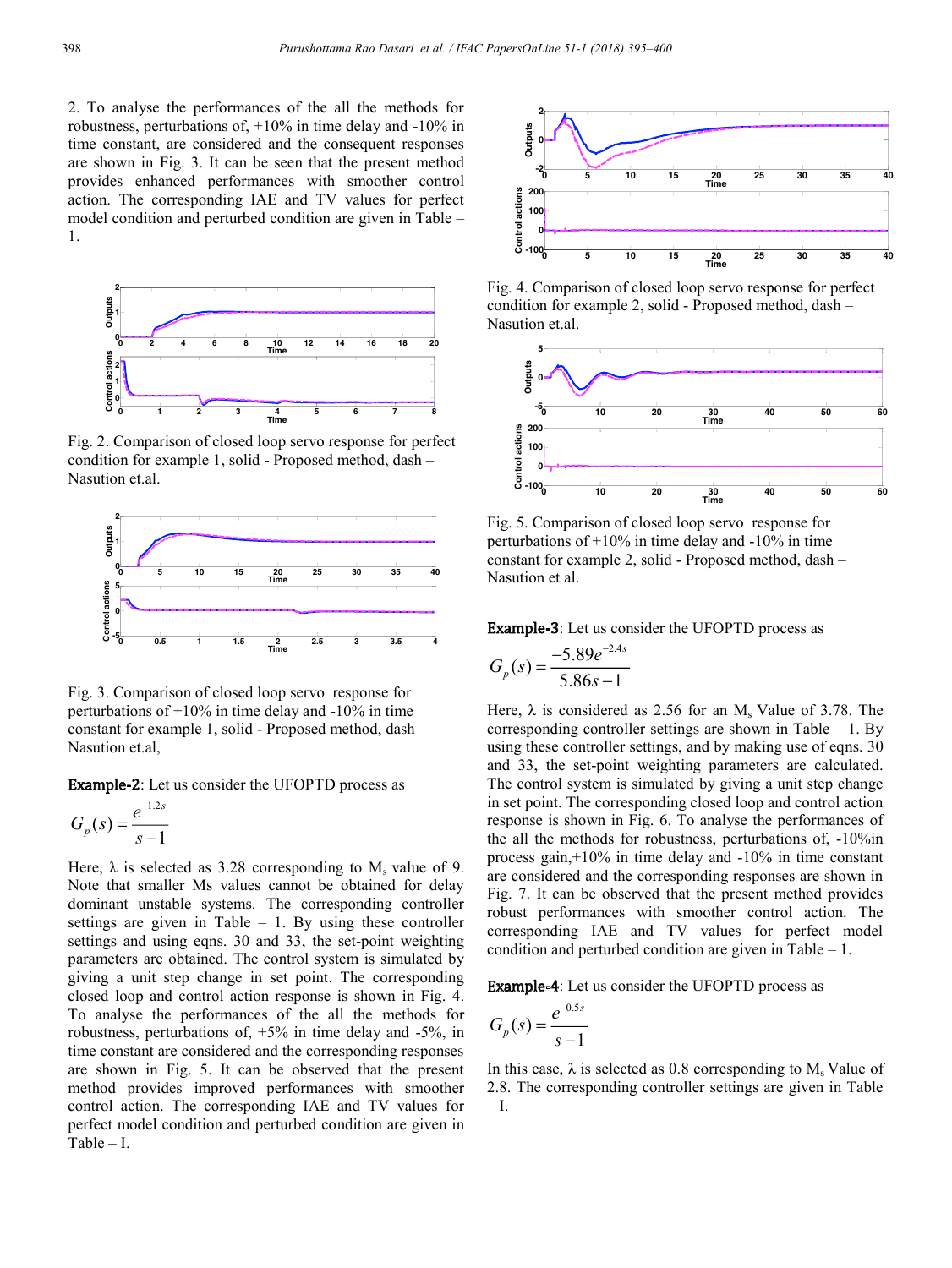2. To analyse the performances of the all the methods for robustness, perturbations of, +10% in time delay and -10% in time constant, are considered and the consequent responses are shown in Fig. 3. It can be seen that the present method provides enhanced performances with smoother control action. The corresponding IAE and TV values for perfect model condition and perturbed condition are given in Table – 1.



Fig. 2. Comparison of closed loop servo response for perfect condition for example 1, solid - Proposed method, dash – Nasution et.al.



Fig. 3. Comparison of closed loop servo response for perturbations of +10% in time delay and -10% in time constant for example 1, solid - Proposed method, dash – Nasution et.al,

Example-2: Let us consider the UFOPTD process as

$$
G_p(s) = \frac{e^{-1.2s}}{s - 1}
$$

Here,  $\lambda$  is selected as 3.28 corresponding to  $M_s$  value of 9. Note that smaller Ms values cannot be obtained for delay dominant unstable systems. The corresponding controller settings are given in Table – 1. By using these controller settings and using eqns. 30 and 33, the set-point weighting parameters are obtained. The control system is simulated by giving a unit step change in set point. The corresponding closed loop and control action response is shown in Fig. 4. To analyse the performances of the all the methods for robustness, perturbations of, +5% in time delay and -5%, in time constant are considered and the corresponding responses are shown in Fig. 5. It can be observed that the present method provides improved performances with smoother control action. The corresponding IAE and TV values for perfect model condition and perturbed condition are given in Table – I.



Fig. 4. Comparison of closed loop servo response for perfect condition for example 2, solid - Proposed method, dash – Nasution et.al.



Fig. 5. Comparison of closed loop servo response for perturbations of  $+10\%$  in time delay and  $-10\%$  in time constant for example 2, solid - Proposed method, dash – Nasution et al.

Example-3: Let us consider the UFOPTD process as

$$
G_p(s) = \frac{-5.89e^{-2.4s}}{5.86s - 1}
$$

Here,  $\lambda$  is considered as 2.56 for an M<sub>s</sub> Value of 3.78. The corresponding controller settings are shown in Table  $-1$ . By using these controller settings, and by making use of eqns. 30 and 33, the set-point weighting parameters are calculated. The control system is simulated by giving a unit step change in set point. The corresponding closed loop and control action response is shown in Fig. 6. To analyse the performances of the all the methods for robustness, perturbations of, -10%in process gain,+10% in time delay and -10% in time constant are considered and the corresponding responses are shown in Fig. 7. It can be observed that the present method provides robust performances with smoother control action. The corresponding IAE and TV values for perfect model condition and perturbed condition are given in Table – 1.

Example-4: Let us consider the UFOPTD process as

$$
G_p(s) = \frac{e^{-0.5s}}{s - 1}
$$

In this case,  $\lambda$  is selected as 0.8 corresponding to M<sub>s</sub> Value of 2.8. The corresponding controller settings are given in Table  $-\mathrm{I}$ .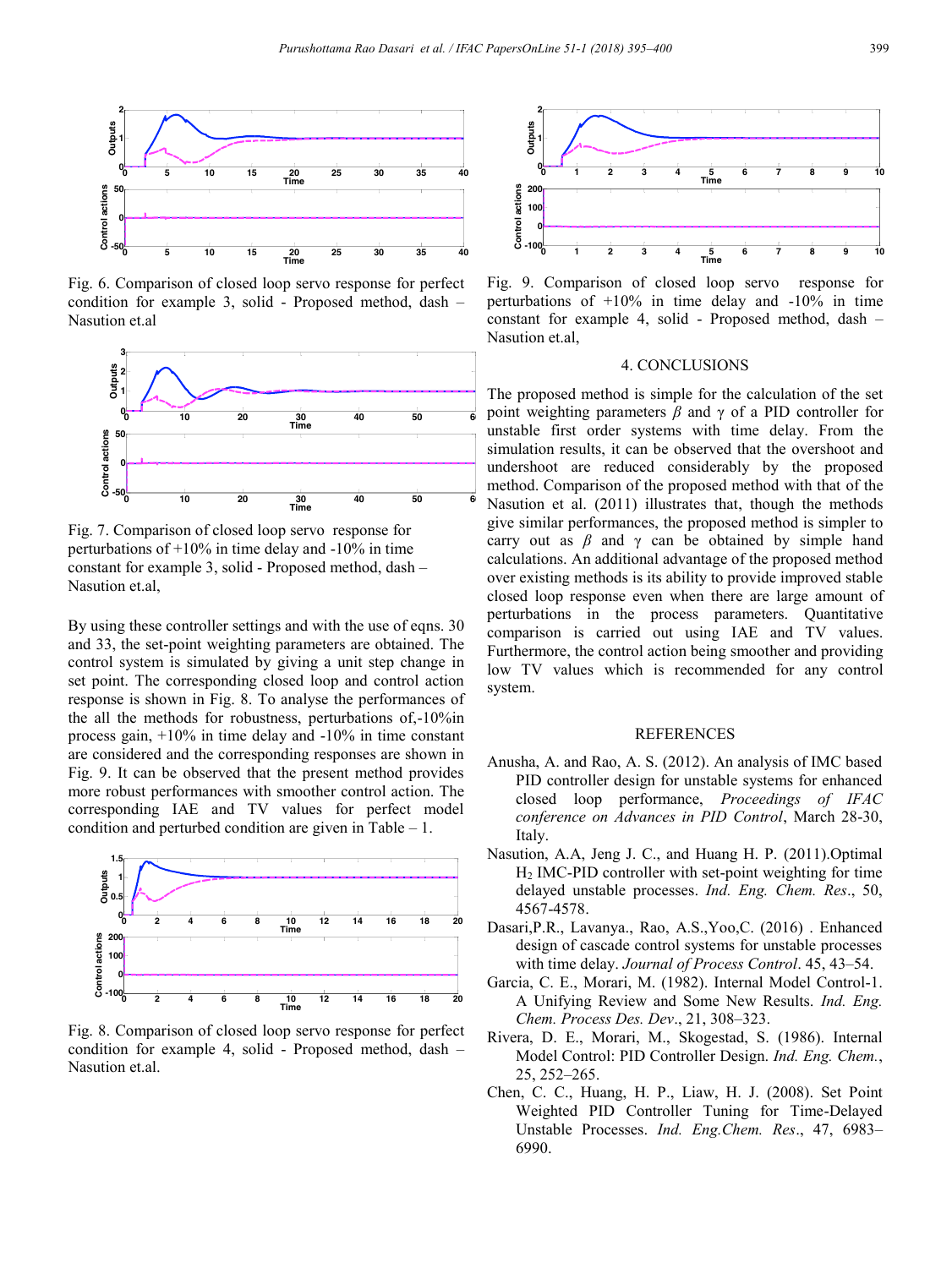

**Optimization of Dynamical Systems**

Fig. 6. Comparison of closed loop servo response for perfect condition for example 3, solid - Proposed method, dash – Nasution et.al



Fig. 7. Comparison of closed loop servo response for perturbations of  $+10\%$  in time delay and  $-10\%$  in time constant for example 3, solid - Proposed method, dash – Nasution et.al,

By using these controller settings and with the use of eqns. 30 and 33, the set-point weighting parameters are obtained. The control system is simulated by giving a unit step change in set point. The corresponding closed loop and control action response is shown in Fig. 8. To analyse the performances of the all the methods for robustness, perturbations of,-10%in process gain, +10% in time delay and -10% in time constant are considered and the corresponding responses are shown in Fig. 9. It can be observed that the present method provides more robust performances with smoother control action. The corresponding IAE and TV values for perfect model condition and perturbed condition are given in Table – 1.



Fig. 8. Comparison of closed loop servo response for perfect condition for example 4, solid - Proposed method, dash – Nasution et.al.



Fig. 9. Comparison of closed loop servo response for perturbations of  $+10\%$  in time delay and  $-10\%$  in time constant for example 4, solid - Proposed method, dash – Nasution et.al,

# 4. CONCLUSIONS

The proposed method is simple for the calculation of the set point weighting parameters *β* and γ of a PID controller for unstable first order systems with time delay. From the simulation results, it can be observed that the overshoot and undershoot are reduced considerably by the proposed method. Comparison of the proposed method with that of the Nasution et al. (2011) illustrates that, though the methods give similar performances, the proposed method is simpler to carry out as  $\beta$  and  $\gamma$  can be obtained by simple hand calculations. An additional advantage of the proposed method over existing methods is its ability to provide improved stable closed loop response even when there are large amount of perturbations in the process parameters. Quantitative comparison is carried out using IAE and TV values. Furthermore, the control action being smoother and providing low TV values which is recommended for any control system.

## REFERENCES

- Anusha, A. and Rao, A. S. (2012). An analysis of IMC based PID controller design for unstable systems for enhanced closed loop performance, *Proceedings of IFAC conference on Advances in PID Control*, March 28-30, Italy.
- Nasution, A.A, Jeng J. C., and Huang H. P. (2011).Optimal H2 IMC-PID controller with set-point weighting for time delayed unstable processes. *Ind. Eng. Chem. Res*., 50, 4567-4578.
- Dasari,P.R., Lavanya., Rao, A.S.,Yoo,C. (2016) . Enhanced design of cascade control systems for unstable processes with time delay. *Journal of Process Control*. 45, 43–54.
- Garcia, C. E., Morari, M. (1982). Internal Model Control-1. A Unifying Review and Some New Results. *Ind. Eng. Chem. Process Des. Dev*., 21, 308–323.
- Rivera, D. E., Morari, M., Skogestad, S. (1986). Internal Model Control: PID Controller Design. *Ind. Eng. Chem.*, 25, 252–265.
- Chen, C. C., Huang, H. P., Liaw, H. J. (2008). Set Point Weighted PID Controller Tuning for Time-Delayed Unstable Processes. *Ind. Eng.Chem. Res*., 47, 6983– 6990.